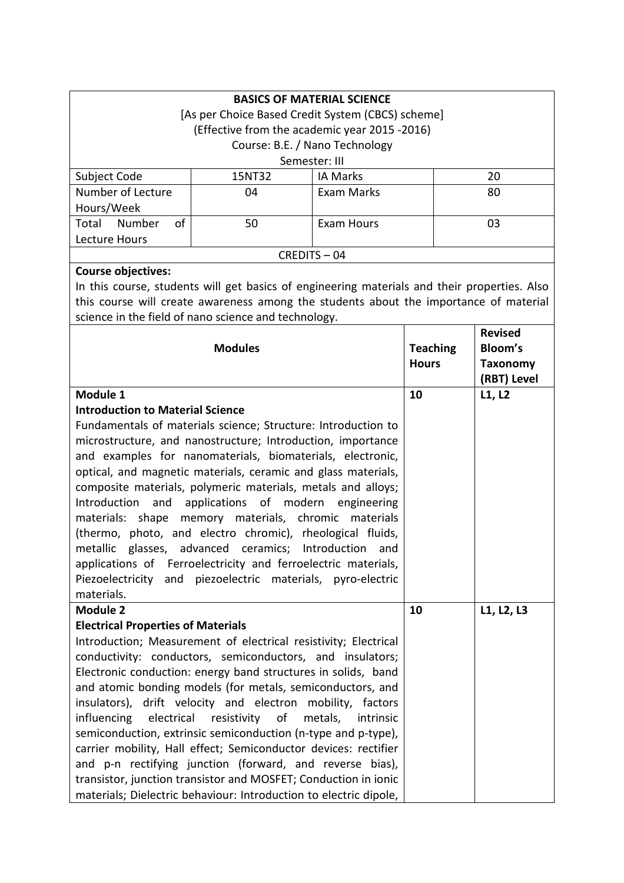|                                           | <b>BASICS OF MATERIAL SCIENCE</b>                                                            |                      |                 |                 |
|-------------------------------------------|----------------------------------------------------------------------------------------------|----------------------|-----------------|-----------------|
|                                           | [As per Choice Based Credit System (CBCS) scheme]                                            |                      |                 |                 |
|                                           | (Effective from the academic year 2015 -2016)                                                |                      |                 |                 |
|                                           | Course: B.E. / Nano Technology                                                               |                      |                 |                 |
|                                           | Semester: III                                                                                |                      |                 |                 |
| Subject Code                              | 15NT32                                                                                       | <b>IA Marks</b>      |                 | 20              |
| Number of Lecture                         | 04                                                                                           | Exam Marks           |                 | 80              |
| Hours/Week                                |                                                                                              |                      |                 |                 |
| of<br>Total Number                        | 50                                                                                           | <b>Exam Hours</b>    |                 | 03              |
| Lecture Hours                             |                                                                                              |                      |                 |                 |
|                                           | CREDITS-04                                                                                   |                      |                 |                 |
| <b>Course objectives:</b>                 |                                                                                              |                      |                 |                 |
|                                           | In this course, students will get basics of engineering materials and their properties. Also |                      |                 |                 |
|                                           | this course will create awareness among the students about the importance of material        |                      |                 |                 |
|                                           | science in the field of nano science and technology.                                         |                      |                 |                 |
|                                           |                                                                                              |                      |                 | <b>Revised</b>  |
|                                           | <b>Modules</b>                                                                               |                      | <b>Teaching</b> | Bloom's         |
|                                           |                                                                                              |                      | <b>Hours</b>    | <b>Taxonomy</b> |
|                                           |                                                                                              |                      |                 | (RBT) Level     |
| Module 1                                  |                                                                                              |                      | 10              | L1, L2          |
| <b>Introduction to Material Science</b>   |                                                                                              |                      |                 |                 |
|                                           | Fundamentals of materials science; Structure: Introduction to                                |                      |                 |                 |
|                                           | microstructure, and nanostructure; Introduction, importance                                  |                      |                 |                 |
|                                           | and examples for nanomaterials, biomaterials, electronic,                                    |                      |                 |                 |
|                                           | optical, and magnetic materials, ceramic and glass materials,                                |                      |                 |                 |
|                                           | composite materials, polymeric materials, metals and alloys;                                 |                      |                 |                 |
| Introduction<br>and                       | applications of modern engineering                                                           |                      |                 |                 |
|                                           | materials: shape memory materials, chromic materials                                         |                      |                 |                 |
|                                           | (thermo, photo, and electro chromic), rheological fluids,                                    |                      |                 |                 |
| metallic                                  | glasses, advanced ceramics; Introduction                                                     | and                  |                 |                 |
|                                           | applications of Ferroelectricity and ferroelectric materials,                                |                      |                 |                 |
|                                           | Piezoelectricity and piezoelectric materials, pyro-electric                                  |                      |                 |                 |
| materials.                                |                                                                                              |                      |                 |                 |
| <b>Module 2</b>                           |                                                                                              |                      | 10              | L1, L2, L3      |
| <b>Electrical Properties of Materials</b> |                                                                                              |                      |                 |                 |
|                                           | Introduction; Measurement of electrical resistivity; Electrical                              |                      |                 |                 |
|                                           | conductivity: conductors, semiconductors, and insulators;                                    |                      |                 |                 |
|                                           | Electronic conduction: energy band structures in solids, band                                |                      |                 |                 |
|                                           | and atomic bonding models (for metals, semiconductors, and                                   |                      |                 |                 |
|                                           | insulators), drift velocity and electron mobility, factors                                   |                      |                 |                 |
| influencing electrical                    | resistivity of                                                                               | metals,<br>intrinsic |                 |                 |
|                                           | semiconduction, extrinsic semiconduction (n-type and p-type),                                |                      |                 |                 |
|                                           | carrier mobility, Hall effect; Semiconductor devices: rectifier                              |                      |                 |                 |
|                                           | and p-n rectifying junction (forward, and reverse bias),                                     |                      |                 |                 |
|                                           | transistor, junction transistor and MOSFET; Conduction in ionic                              |                      |                 |                 |
|                                           | materials; Dielectric behaviour: Introduction to electric dipole,                            |                      |                 |                 |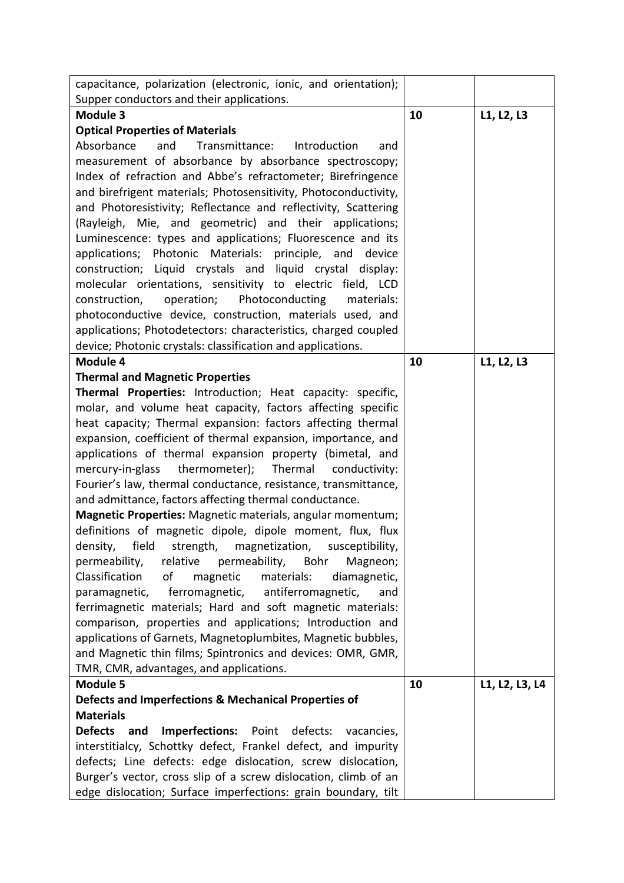| capacitance, polarization (electronic, ionic, and orientation);                                                          |    |                |
|--------------------------------------------------------------------------------------------------------------------------|----|----------------|
| Supper conductors and their applications.                                                                                |    |                |
| <b>Module 3</b>                                                                                                          | 10 | L1, L2, L3     |
| <b>Optical Properties of Materials</b>                                                                                   |    |                |
| Absorbance<br>Transmittance:<br>and<br>Introduction<br>and                                                               |    |                |
| measurement of absorbance by absorbance spectroscopy;                                                                    |    |                |
| Index of refraction and Abbe's refractometer; Birefringence                                                              |    |                |
| and birefrigent materials; Photosensitivity, Photoconductivity,                                                          |    |                |
| and Photoresistivity; Reflectance and reflectivity, Scattering                                                           |    |                |
| (Rayleigh, Mie, and geometric) and their applications;                                                                   |    |                |
| Luminescence: types and applications; Fluorescence and its                                                               |    |                |
| applications; Photonic Materials:<br>principle,<br>and<br>device                                                         |    |                |
| construction; Liquid crystals and liquid crystal display:                                                                |    |                |
| molecular orientations, sensitivity to electric field, LCD                                                               |    |                |
| operation;<br>Photoconducting<br>construction,<br>materials:                                                             |    |                |
| photoconductive device, construction, materials used, and                                                                |    |                |
| applications; Photodetectors: characteristics, charged coupled                                                           |    |                |
| device; Photonic crystals: classification and applications.                                                              |    |                |
| Module 4                                                                                                                 | 10 | L1, L2, L3     |
| <b>Thermal and Magnetic Properties</b>                                                                                   |    |                |
| Thermal Properties: Introduction; Heat capacity: specific,                                                               |    |                |
| molar, and volume heat capacity, factors affecting specific                                                              |    |                |
| heat capacity; Thermal expansion: factors affecting thermal                                                              |    |                |
| expansion, coefficient of thermal expansion, importance, and                                                             |    |                |
| applications of thermal expansion property (bimetal, and                                                                 |    |                |
| mercury-in-glass thermometer); Thermal conductivity:                                                                     |    |                |
| Fourier's law, thermal conductance, resistance, transmittance,<br>and admittance, factors affecting thermal conductance. |    |                |
| Magnetic Properties: Magnetic materials, angular momentum;                                                               |    |                |
|                                                                                                                          |    |                |
| definitions of magnetic dipole, dipole moment, flux, flux                                                                |    |                |
| density, field strength, magnetization, susceptibility,<br>permeability,<br>relative permeability,<br>Bohr<br>Magneon;   |    |                |
| Classification<br>of<br>magnetic<br>materials:<br>diamagnetic,                                                           |    |                |
| ferromagnetic, antiferromagnetic,<br>paramagnetic,<br>and                                                                |    |                |
| ferrimagnetic materials; Hard and soft magnetic materials:                                                               |    |                |
| comparison, properties and applications; Introduction and                                                                |    |                |
| applications of Garnets, Magnetoplumbites, Magnetic bubbles,                                                             |    |                |
| and Magnetic thin films; Spintronics and devices: OMR, GMR,                                                              |    |                |
| TMR, CMR, advantages, and applications.                                                                                  |    |                |
| <b>Module 5</b>                                                                                                          | 10 | L1, L2, L3, L4 |
| Defects and Imperfections & Mechanical Properties of                                                                     |    |                |
| <b>Materials</b>                                                                                                         |    |                |
| <b>Defects</b><br><b>Imperfections:</b> Point defects:<br>and<br>vacancies,                                              |    |                |
| interstitialcy, Schottky defect, Frankel defect, and impurity                                                            |    |                |
| defects; Line defects: edge dislocation, screw dislocation,                                                              |    |                |
| Burger's vector, cross slip of a screw dislocation, climb of an                                                          |    |                |
| edge dislocation; Surface imperfections: grain boundary, tilt                                                            |    |                |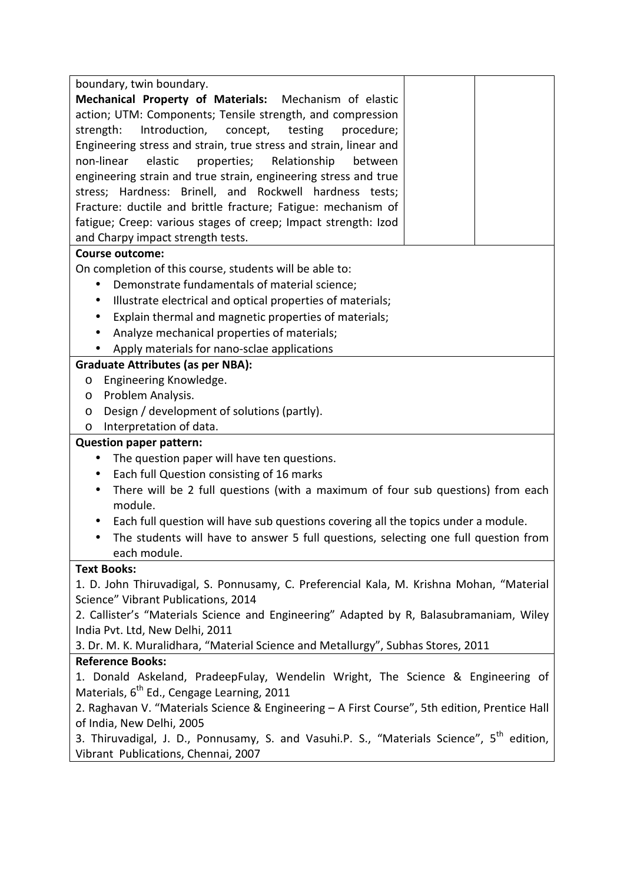| boundary, twin boundary.                                                                              |
|-------------------------------------------------------------------------------------------------------|
| <b>Mechanical Property of Materials:</b><br>Mechanism of elastic                                      |
| action; UTM: Components; Tensile strength, and compression                                            |
| Introduction,<br>strength:<br>concept,<br>testing<br>procedure;                                       |
| Engineering stress and strain, true stress and strain, linear and                                     |
| properties;<br>non-linear<br>elastic<br>Relationship<br>between                                       |
| engineering strain and true strain, engineering stress and true                                       |
| stress; Hardness: Brinell, and Rockwell hardness tests;                                               |
| Fracture: ductile and brittle fracture; Fatigue: mechanism of                                         |
| fatigue; Creep: various stages of creep; Impact strength: Izod                                        |
| and Charpy impact strength tests.                                                                     |
| <b>Course outcome:</b>                                                                                |
| On completion of this course, students will be able to:                                               |
| Demonstrate fundamentals of material science;<br>$\bullet$                                            |
| Illustrate electrical and optical properties of materials;<br>$\bullet$                               |
| Explain thermal and magnetic properties of materials;<br>$\bullet$                                    |
| Analyze mechanical properties of materials;                                                           |
| Apply materials for nano-sclae applications                                                           |
| <b>Graduate Attributes (as per NBA):</b>                                                              |
| Engineering Knowledge.<br>$\circ$                                                                     |
| Problem Analysis.<br>O                                                                                |
| Design / development of solutions (partly).<br>$\circ$                                                |
| Interpretation of data.<br>O                                                                          |
| <b>Question paper pattern:</b>                                                                        |
| The question paper will have ten questions.<br>$\bullet$                                              |
| Each full Question consisting of 16 marks<br>$\bullet$                                                |
| There will be 2 full questions (with a maximum of four sub questions) from each<br>$\bullet$          |
| module.                                                                                               |
| Each full question will have sub questions covering all the topics under a module.                    |
| The students will have to answer 5 full questions, selecting one full question from<br>$\bullet$      |
| each module.                                                                                          |
| <b>Text Books:</b>                                                                                    |
| 1. D. John Thiruvadigal, S. Ponnusamy, C. Preferencial Kala, M. Krishna Mohan, "Material              |
| Science" Vibrant Publications, 2014                                                                   |
| 2. Callister's "Materials Science and Engineering" Adapted by R, Balasubramaniam, Wiley               |
| India Pvt. Ltd, New Delhi, 2011                                                                       |
| 3. Dr. M. K. Muralidhara, "Material Science and Metallurgy", Subhas Stores, 2011                      |
| <b>Reference Books:</b>                                                                               |
| 1. Donald Askeland, PradeepFulay, Wendelin Wright, The Science & Engineering of                       |
| Materials, 6 <sup>th</sup> Ed., Cengage Learning, 2011                                                |
| 2. Raghavan V. "Materials Science & Engineering - A First Course", 5th edition, Prentice Hall         |
| of India, New Delhi, 2005                                                                             |
| 3. Thiruvadigal, J. D., Ponnusamy, S. and Vasuhi.P. S., "Materials Science", 5 <sup>th</sup> edition, |
| Vibrant Publications, Chennai, 2007                                                                   |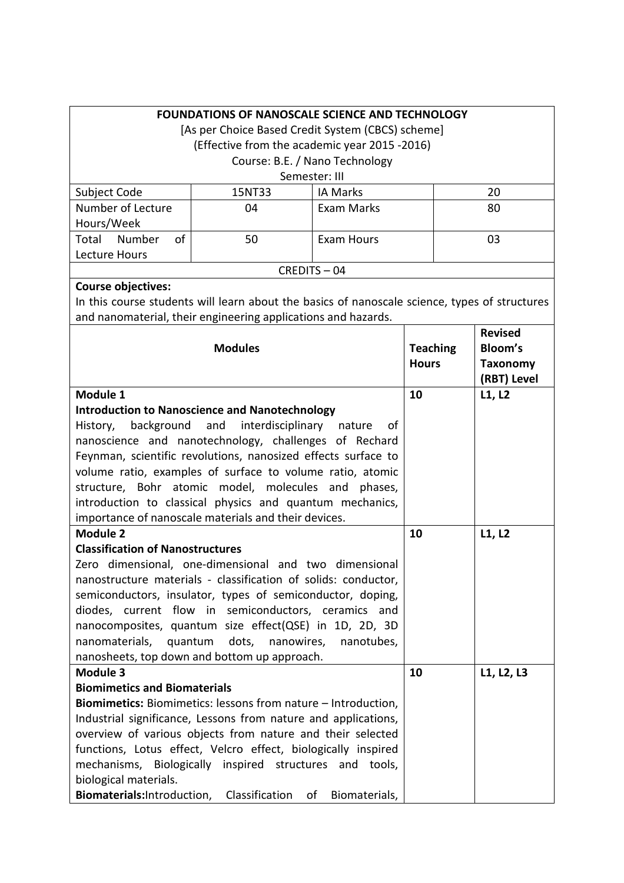|                                         | <b>FOUNDATIONS OF NANOSCALE SCIENCE AND TECHNOLOGY</b>                                        |                                |                 |                 |
|-----------------------------------------|-----------------------------------------------------------------------------------------------|--------------------------------|-----------------|-----------------|
|                                         | [As per Choice Based Credit System (CBCS) scheme]                                             |                                |                 |                 |
|                                         | (Effective from the academic year 2015 -2016)                                                 |                                |                 |                 |
|                                         |                                                                                               | Course: B.E. / Nano Technology |                 |                 |
|                                         |                                                                                               | Semester: III                  |                 |                 |
| Subject Code                            | 15NT33                                                                                        | <b>IA Marks</b>                |                 | 20              |
| Number of Lecture                       | 04                                                                                            | Exam Marks                     |                 | 80              |
| Hours/Week                              |                                                                                               |                                |                 |                 |
| of<br>Total<br>Number                   | 50                                                                                            | <b>Exam Hours</b>              |                 | 03              |
| Lecture Hours                           |                                                                                               |                                |                 |                 |
|                                         |                                                                                               | CREDITS-04                     |                 |                 |
| <b>Course objectives:</b>               |                                                                                               |                                |                 |                 |
|                                         | In this course students will learn about the basics of nanoscale science, types of structures |                                |                 |                 |
|                                         | and nanomaterial, their engineering applications and hazards.                                 |                                |                 |                 |
|                                         |                                                                                               |                                |                 | <b>Revised</b>  |
|                                         | <b>Modules</b>                                                                                |                                | <b>Teaching</b> | <b>Bloom's</b>  |
|                                         |                                                                                               |                                | <b>Hours</b>    | <b>Taxonomy</b> |
|                                         |                                                                                               |                                |                 | (RBT) Level     |
| Module 1                                |                                                                                               |                                | 10              | L1, L2          |
|                                         | <b>Introduction to Nanoscience and Nanotechnology</b>                                         |                                |                 |                 |
| background<br>History,                  | and<br>interdisciplinary nature                                                               | of                             |                 |                 |
|                                         | nanoscience and nanotechnology, challenges of Rechard                                         |                                |                 |                 |
|                                         | Feynman, scientific revolutions, nanosized effects surface to                                 |                                |                 |                 |
|                                         | volume ratio, examples of surface to volume ratio, atomic                                     |                                |                 |                 |
|                                         | structure, Bohr atomic model, molecules and                                                   | phases,                        |                 |                 |
|                                         | introduction to classical physics and quantum mechanics,                                      |                                |                 |                 |
|                                         | importance of nanoscale materials and their devices.                                          |                                |                 |                 |
| <b>Module 2</b>                         |                                                                                               |                                | 10              | L1, L2          |
| <b>Classification of Nanostructures</b> |                                                                                               |                                |                 |                 |
|                                         | Zero dimensional, one-dimensional and two dimensional                                         |                                |                 |                 |
|                                         | nanostructure materials - classification of solids: conductor,                                |                                |                 |                 |
|                                         | semiconductors, insulator, types of semiconductor, doping,                                    |                                |                 |                 |
|                                         | diodes, current flow in semiconductors, ceramics and                                          |                                |                 |                 |
|                                         | nanocomposites, quantum size effect(QSE) in 1D, 2D, 3D                                        |                                |                 |                 |
| nanomaterials,                          | quantum<br>dots,<br>nanowires,                                                                | nanotubes,                     |                 |                 |
|                                         | nanosheets, top down and bottom up approach.                                                  |                                |                 |                 |
| Module 3                                |                                                                                               |                                | 10              | L1, L2, L3      |
| <b>Biomimetics and Biomaterials</b>     |                                                                                               |                                |                 |                 |
|                                         | Biomimetics: Biomimetics: lessons from nature - Introduction,                                 |                                |                 |                 |
|                                         | Industrial significance, Lessons from nature and applications,                                |                                |                 |                 |
|                                         | overview of various objects from nature and their selected                                    |                                |                 |                 |
|                                         | functions, Lotus effect, Velcro effect, biologically inspired                                 |                                |                 |                 |
|                                         | mechanisms, Biologically inspired structures and tools,                                       |                                |                 |                 |
| biological materials.                   |                                                                                               |                                |                 |                 |
| Biomaterials: Introduction,             | Classification                                                                                | of<br>Biomaterials,            |                 |                 |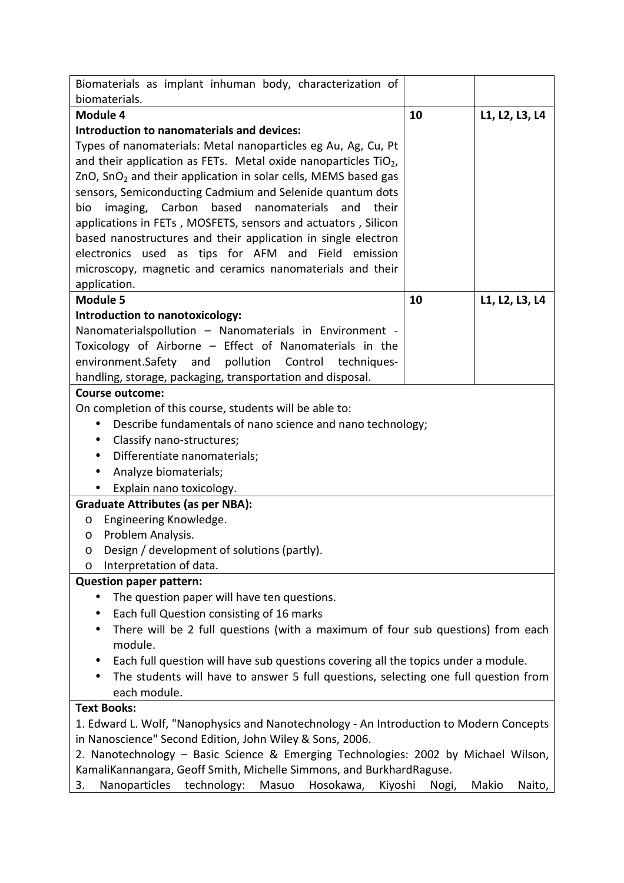| Biomaterials as implant inhuman body, characterization of<br>biomaterials.                                                                     |    |                |
|------------------------------------------------------------------------------------------------------------------------------------------------|----|----------------|
| Module 4                                                                                                                                       | 10 | L1, L2, L3, L4 |
| Introduction to nanomaterials and devices:                                                                                                     |    |                |
| Types of nanomaterials: Metal nanoparticles eg Au, Ag, Cu, Pt                                                                                  |    |                |
| and their application as FETs. Metal oxide nanoparticles $TiO2$ ,                                                                              |    |                |
| $ZnO$ , SnO <sub>2</sub> and their application in solar cells, MEMS based gas                                                                  |    |                |
| sensors, Semiconducting Cadmium and Selenide quantum dots                                                                                      |    |                |
| imaging, Carbon<br>based<br>nanomaterials<br>and<br>their<br>bio                                                                               |    |                |
| applications in FETs, MOSFETS, sensors and actuators, Silicon                                                                                  |    |                |
| based nanostructures and their application in single electron                                                                                  |    |                |
| electronics used as tips for AFM and Field emission                                                                                            |    |                |
| microscopy, magnetic and ceramics nanomaterials and their                                                                                      |    |                |
| application.                                                                                                                                   |    |                |
| <b>Module 5</b>                                                                                                                                | 10 | L1, L2, L3, L4 |
| Introduction to nanotoxicology:                                                                                                                |    |                |
| Nanomaterialspollution - Nanomaterials in Environment -                                                                                        |    |                |
| Toxicology of Airborne - Effect of Nanomaterials in the                                                                                        |    |                |
| environment.Safety and pollution Control<br>techniques-                                                                                        |    |                |
| handling, storage, packaging, transportation and disposal.<br><b>Course outcome:</b>                                                           |    |                |
| On completion of this course, students will be able to:                                                                                        |    |                |
| Describe fundamentals of nano science and nano technology;<br>$\bullet$                                                                        |    |                |
| Classify nano-structures;<br>$\bullet$                                                                                                         |    |                |
| Differentiate nanomaterials;<br>$\bullet$                                                                                                      |    |                |
| Analyze biomaterials;<br>$\bullet$                                                                                                             |    |                |
| Explain nano toxicology.                                                                                                                       |    |                |
| <b>Graduate Attributes (as per NBA):</b>                                                                                                       |    |                |
| Engineering Knowledge.<br>$\circ$                                                                                                              |    |                |
| Problem Analysis.<br>$\circ$                                                                                                                   |    |                |
| Design / development of solutions (partly).<br>O                                                                                               |    |                |
| Interpretation of data.<br>O                                                                                                                   |    |                |
| <b>Question paper pattern:</b>                                                                                                                 |    |                |
| The question paper will have ten questions.                                                                                                    |    |                |
| Each full Question consisting of 16 marks<br>$\bullet$                                                                                         |    |                |
| There will be 2 full questions (with a maximum of four sub questions) from each                                                                |    |                |
| module.                                                                                                                                        |    |                |
| Each full question will have sub questions covering all the topics under a module.<br>٠                                                        |    |                |
| The students will have to answer 5 full questions, selecting one full question from                                                            |    |                |
| each module.                                                                                                                                   |    |                |
| <b>Text Books:</b>                                                                                                                             |    |                |
| 1. Edward L. Wolf, "Nanophysics and Nanotechnology - An Introduction to Modern Concepts                                                        |    |                |
| in Nanoscience" Second Edition, John Wiley & Sons, 2006.<br>2. Nanotechnology - Basic Science & Emerging Technologies: 2002 by Michael Wilson, |    |                |
| KamaliKannangara, Geoff Smith, Michelle Simmons, and BurkhardRaguse.                                                                           |    |                |
|                                                                                                                                                |    |                |

3. Nanoparticles technology: Masuo Hosokawa, Kiyoshi Nogi, Makio Naito,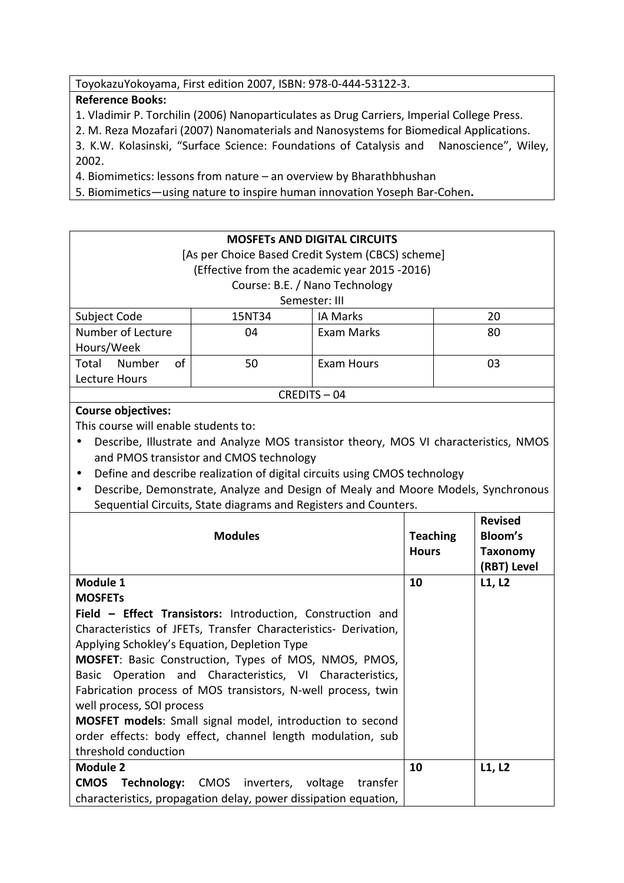ToyokazuYokoyama, First edition 2007, ISBN: 978-0-444-53122-3.

# **Reference Books:**

1. Vladimir P. Torchilin (2006) Nanoparticulates as Drug Carriers, Imperial College Press.

2. M. Reza Mozafari (2007) Nanomaterials and Nanosystems for Biomedical Applications.

3. K.W. Kolasinski, "Surface Science: Foundations of Catalysis and Nanoscience", Wiley, 2002.

4. Biomimetics: lessons from nature – an overview by Bharathbhushan

5. Biomimetics—using nature to inspire human innovation Yoseph Bar-Cohen**.** 

|                                      |                                                                                                             | <b>MOSFETS AND DIGITAL CIRCUITS</b> |                 |                 |
|--------------------------------------|-------------------------------------------------------------------------------------------------------------|-------------------------------------|-----------------|-----------------|
|                                      | [As per Choice Based Credit System (CBCS) scheme]                                                           |                                     |                 |                 |
|                                      | (Effective from the academic year 2015 -2016)                                                               |                                     |                 |                 |
|                                      |                                                                                                             | Course: B.E. / Nano Technology      |                 |                 |
|                                      |                                                                                                             | Semester: III                       |                 |                 |
| Subject Code                         | 15NT34                                                                                                      | IA Marks                            |                 | 20              |
| Number of Lecture                    | 04                                                                                                          | Exam Marks                          |                 | 80              |
| Hours/Week                           |                                                                                                             |                                     |                 |                 |
| Total<br>Number<br>of                | 50                                                                                                          | <b>Exam Hours</b>                   |                 | 03              |
| Lecture Hours                        |                                                                                                             |                                     |                 |                 |
|                                      |                                                                                                             | CREDITS-04                          |                 |                 |
| <b>Course objectives:</b>            |                                                                                                             |                                     |                 |                 |
| This course will enable students to: |                                                                                                             |                                     |                 |                 |
|                                      | Describe, Illustrate and Analyze MOS transistor theory, MOS VI characteristics, NMOS                        |                                     |                 |                 |
|                                      | and PMOS transistor and CMOS technology                                                                     |                                     |                 |                 |
| $\bullet$                            | Define and describe realization of digital circuits using CMOS technology                                   |                                     |                 |                 |
| $\bullet$                            | Describe, Demonstrate, Analyze and Design of Mealy and Moore Models, Synchronous                            |                                     |                 |                 |
|                                      | Sequential Circuits, State diagrams and Registers and Counters.                                             |                                     |                 |                 |
|                                      |                                                                                                             |                                     |                 |                 |
|                                      |                                                                                                             |                                     |                 | <b>Revised</b>  |
|                                      | <b>Modules</b>                                                                                              |                                     | <b>Teaching</b> | <b>Bloom's</b>  |
|                                      |                                                                                                             |                                     | <b>Hours</b>    | <b>Taxonomy</b> |
|                                      |                                                                                                             |                                     |                 | (RBT) Level     |
| Module 1                             |                                                                                                             |                                     | 10              | L1, L2          |
| <b>MOSFETS</b>                       |                                                                                                             |                                     |                 |                 |
|                                      | Field - Effect Transistors: Introduction, Construction and                                                  |                                     |                 |                 |
|                                      | Characteristics of JFETs, Transfer Characteristics- Derivation,                                             |                                     |                 |                 |
|                                      | Applying Schokley's Equation, Depletion Type                                                                |                                     |                 |                 |
|                                      |                                                                                                             |                                     |                 |                 |
| <b>Basic</b>                         | MOSFET: Basic Construction, Types of MOS, NMOS, PMOS,<br>Operation and Characteristics, VI Characteristics, |                                     |                 |                 |
|                                      |                                                                                                             |                                     |                 |                 |
| well process, SOI process            | Fabrication process of MOS transistors, N-well process, twin                                                |                                     |                 |                 |
|                                      | <b>MOSFET models:</b> Small signal model, introduction to second                                            |                                     |                 |                 |
|                                      |                                                                                                             |                                     |                 |                 |
| threshold conduction                 | order effects: body effect, channel length modulation, sub                                                  |                                     |                 |                 |
| <b>Module 2</b>                      |                                                                                                             |                                     | 10              | L1, L2          |
| <b>CMOS</b><br>Technology:           | <b>CMOS</b><br>inverters,                                                                                   | voltage<br>transfer                 |                 |                 |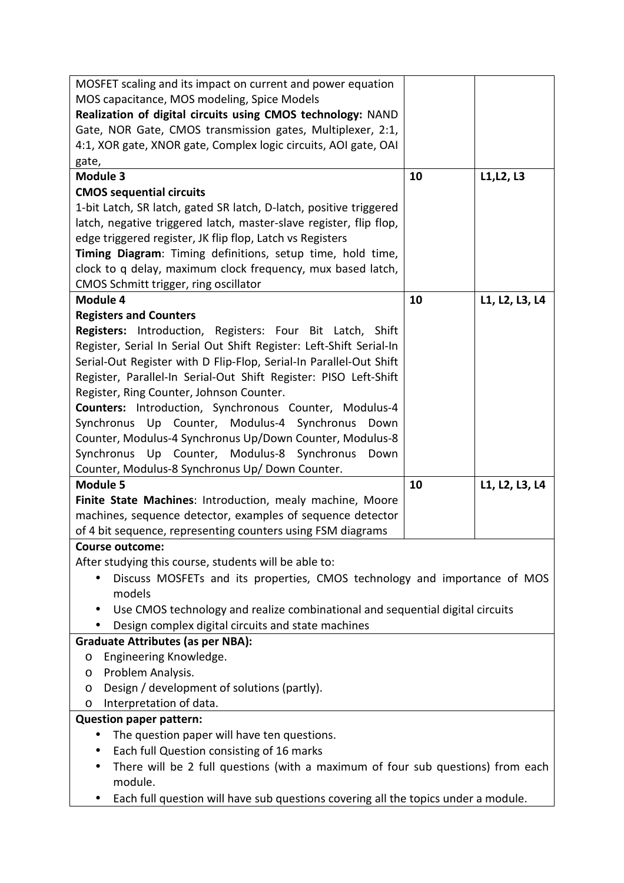| MOSFET scaling and its impact on current and power equation                        |    |                |
|------------------------------------------------------------------------------------|----|----------------|
| MOS capacitance, MOS modeling, Spice Models                                        |    |                |
| Realization of digital circuits using CMOS technology: NAND                        |    |                |
| Gate, NOR Gate, CMOS transmission gates, Multiplexer, 2:1,                         |    |                |
| 4:1, XOR gate, XNOR gate, Complex logic circuits, AOI gate, OAI                    |    |                |
| gate,                                                                              |    |                |
| <b>Module 3</b>                                                                    | 10 | L1, L2, L3     |
| <b>CMOS sequential circuits</b>                                                    |    |                |
| 1-bit Latch, SR latch, gated SR latch, D-latch, positive triggered                 |    |                |
| latch, negative triggered latch, master-slave register, flip flop,                 |    |                |
| edge triggered register, JK flip flop, Latch vs Registers                          |    |                |
| Timing Diagram: Timing definitions, setup time, hold time,                         |    |                |
| clock to q delay, maximum clock frequency, mux based latch,                        |    |                |
| CMOS Schmitt trigger, ring oscillator                                              |    |                |
| Module 4                                                                           | 10 | L1, L2, L3, L4 |
| <b>Registers and Counters</b>                                                      |    |                |
| Registers: Introduction, Registers: Four Bit Latch, Shift                          |    |                |
| Register, Serial In Serial Out Shift Register: Left-Shift Serial-In                |    |                |
| Serial-Out Register with D Flip-Flop, Serial-In Parallel-Out Shift                 |    |                |
| Register, Parallel-In Serial-Out Shift Register: PISO Left-Shift                   |    |                |
| Register, Ring Counter, Johnson Counter.                                           |    |                |
| Counters: Introduction, Synchronous Counter, Modulus-4                             |    |                |
| Synchronus Up Counter, Modulus-4 Synchronus<br>Down                                |    |                |
| Counter, Modulus-4 Synchronus Up/Down Counter, Modulus-8                           |    |                |
| Synchronus Up Counter, Modulus-8 Synchronus<br>Down                                |    |                |
| Counter, Modulus-8 Synchronus Up/ Down Counter.<br><b>Module 5</b>                 | 10 | L1, L2, L3, L4 |
| Finite State Machines: Introduction, mealy machine, Moore                          |    |                |
| machines, sequence detector, examples of sequence detector                         |    |                |
| of 4 bit sequence, representing counters using FSM diagrams                        |    |                |
| <b>Course outcome:</b>                                                             |    |                |
| After studying this course, students will be able to:                              |    |                |
| Discuss MOSFETs and its properties, CMOS technology and importance of MOS          |    |                |
| models                                                                             |    |                |
| Use CMOS technology and realize combinational and sequential digital circuits      |    |                |
| Design complex digital circuits and state machines                                 |    |                |
| <b>Graduate Attributes (as per NBA):</b>                                           |    |                |
| Engineering Knowledge.<br>O                                                        |    |                |
| Problem Analysis.<br>O                                                             |    |                |
| Design / development of solutions (partly).<br>O                                   |    |                |
| Interpretation of data.<br>O                                                       |    |                |
| <b>Question paper pattern:</b>                                                     |    |                |
| The question paper will have ten questions.<br>$\bullet$                           |    |                |
| Each full Question consisting of 16 marks                                          |    |                |
| There will be 2 full questions (with a maximum of four sub questions) from each    |    |                |
| module.                                                                            |    |                |
| Each full question will have sub questions covering all the topics under a module. |    |                |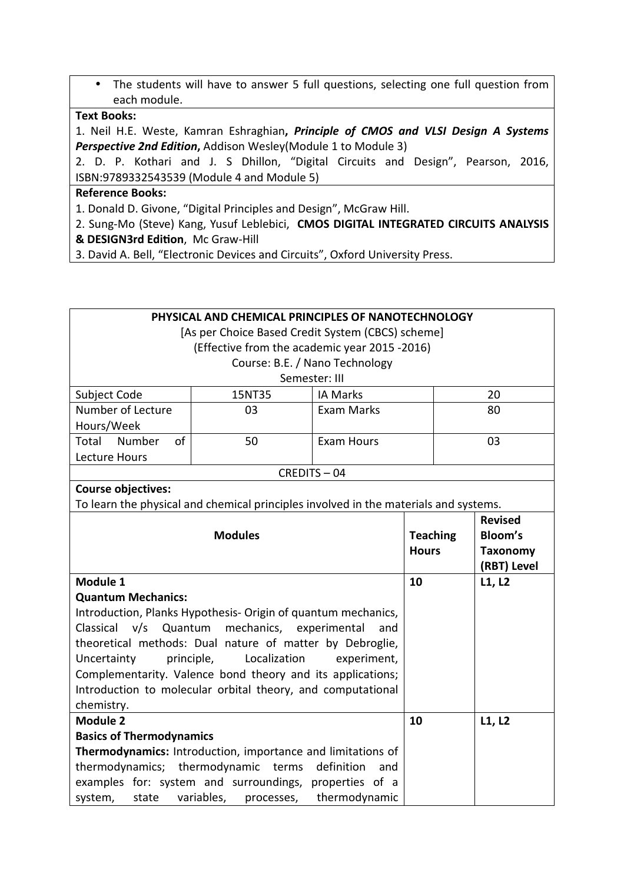• The students will have to answer 5 full questions, selecting one full question from each module.

# **Text Books:**

1. Neil H.E. Weste, Kamran Eshraghian**,** *Principle of CMOS and VLSI Design A Systems*  **Perspective 2nd Edition, Addison Wesley(Module 1 to Module 3)** 

2. D. P. Kothari and J. S Dhillon, "Digital Circuits and Design", Pearson, 2016, ISBN:9789332543539 (Module 4 and Module 5)

#### **Reference Books:**

1. Donald D. Givone, "Digital Principles and Design", McGraw Hill.

- 2. Sung-Mo (Steve) Kang, Yusuf Leblebici, **CMOS DIGITAL INTEGRATED CIRCUITS ANALYSIS**
- **& DESIGN3rd Edition, Mc Graw-Hill**
- 3. David A. Bell, "Electronic Devices and Circuits", Oxford University Press.

| PHYSICAL AND CHEMICAL PRINCIPLES OF NANOTECHNOLOGY |                                                                                      |                                |                 |                 |
|----------------------------------------------------|--------------------------------------------------------------------------------------|--------------------------------|-----------------|-----------------|
| [As per Choice Based Credit System (CBCS) scheme]  |                                                                                      |                                |                 |                 |
|                                                    | (Effective from the academic year 2015 -2016)                                        |                                |                 |                 |
|                                                    |                                                                                      | Course: B.E. / Nano Technology |                 |                 |
|                                                    |                                                                                      | Semester: III                  |                 |                 |
| Subject Code                                       | 15NT35                                                                               | <b>IA Marks</b>                |                 | 20              |
| Number of Lecture                                  | 03                                                                                   | <b>Exam Marks</b>              |                 | 80              |
| Hours/Week                                         |                                                                                      |                                |                 |                 |
| Total Number<br>of                                 | 50                                                                                   | <b>Exam Hours</b>              |                 | 03              |
| Lecture Hours                                      |                                                                                      |                                |                 |                 |
|                                                    |                                                                                      | CREDITS-04                     |                 |                 |
| <b>Course objectives:</b>                          |                                                                                      |                                |                 |                 |
|                                                    | To learn the physical and chemical principles involved in the materials and systems. |                                |                 |                 |
|                                                    |                                                                                      |                                |                 | <b>Revised</b>  |
|                                                    | <b>Modules</b>                                                                       |                                | <b>Teaching</b> | <b>Bloom's</b>  |
|                                                    |                                                                                      |                                | <b>Hours</b>    | <b>Taxonomy</b> |
|                                                    |                                                                                      |                                |                 | (RBT) Level     |
| Module 1                                           |                                                                                      |                                | 10              | L1, L2          |
| <b>Quantum Mechanics:</b>                          |                                                                                      |                                |                 |                 |
|                                                    | Introduction, Planks Hypothesis- Origin of quantum mechanics,                        |                                |                 |                 |
| Classical<br>v/s<br>Quantum                        | mechanics, experimental                                                              | and                            |                 |                 |
|                                                    | theoretical methods: Dual nature of matter by Debroglie,                             |                                |                 |                 |
| Uncertainty<br>principle,                          | Localization                                                                         | experiment,                    |                 |                 |
|                                                    | Complementarity. Valence bond theory and its applications;                           |                                |                 |                 |
|                                                    | Introduction to molecular orbital theory, and computational                          |                                |                 |                 |
| chemistry.<br><b>Module 2</b>                      |                                                                                      |                                |                 |                 |
|                                                    |                                                                                      |                                | 10              | L1, L2          |
| <b>Basics of Thermodynamics</b>                    |                                                                                      |                                |                 |                 |
| thermodynamics; thermodynamic terms                | Thermodynamics: Introduction, importance and limitations of                          | definition<br>and              |                 |                 |
|                                                    | examples for: system and surroundings, properties of a                               |                                |                 |                 |
| system,<br>state                                   | variables,<br>processes,                                                             | thermodynamic                  |                 |                 |
|                                                    |                                                                                      |                                |                 |                 |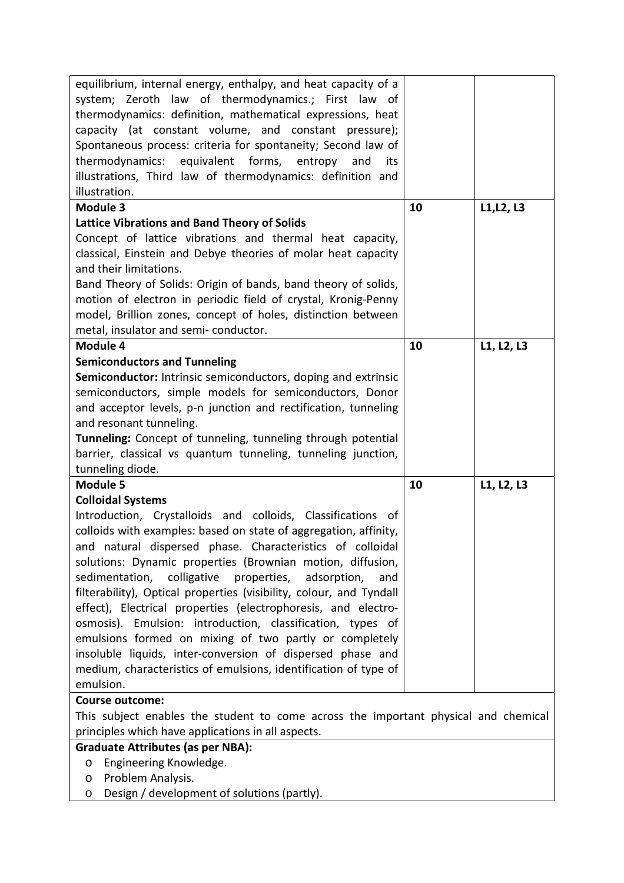| equilibrium, internal energy, enthalpy, and heat capacity of a<br>system; Zeroth law of thermodynamics.; First law of<br>thermodynamics: definition, mathematical expressions, heat<br>capacity (at constant volume, and constant pressure);<br>Spontaneous process: criteria for spontaneity; Second law of<br>thermodynamics: equivalent forms,<br>entropy and<br>its<br>illustrations, Third law of thermodynamics: definition and                                                                                                                                                                                                                                                                                                                             |    |            |
|-------------------------------------------------------------------------------------------------------------------------------------------------------------------------------------------------------------------------------------------------------------------------------------------------------------------------------------------------------------------------------------------------------------------------------------------------------------------------------------------------------------------------------------------------------------------------------------------------------------------------------------------------------------------------------------------------------------------------------------------------------------------|----|------------|
| illustration.                                                                                                                                                                                                                                                                                                                                                                                                                                                                                                                                                                                                                                                                                                                                                     |    |            |
| <b>Module 3</b>                                                                                                                                                                                                                                                                                                                                                                                                                                                                                                                                                                                                                                                                                                                                                   | 10 | L1, L2, L3 |
| <b>Lattice Vibrations and Band Theory of Solids</b>                                                                                                                                                                                                                                                                                                                                                                                                                                                                                                                                                                                                                                                                                                               |    |            |
| Concept of lattice vibrations and thermal heat capacity,<br>classical, Einstein and Debye theories of molar heat capacity<br>and their limitations.<br>Band Theory of Solids: Origin of bands, band theory of solids,<br>motion of electron in periodic field of crystal, Kronig-Penny<br>model, Brillion zones, concept of holes, distinction between                                                                                                                                                                                                                                                                                                                                                                                                            |    |            |
| metal, insulator and semi-conductor.<br>Module 4                                                                                                                                                                                                                                                                                                                                                                                                                                                                                                                                                                                                                                                                                                                  | 10 | L1, L2, L3 |
| <b>Semiconductors and Tunneling</b>                                                                                                                                                                                                                                                                                                                                                                                                                                                                                                                                                                                                                                                                                                                               |    |            |
| Semiconductor: Intrinsic semiconductors, doping and extrinsic<br>semiconductors, simple models for semiconductors, Donor<br>and acceptor levels, p-n junction and rectification, tunneling<br>and resonant tunneling.<br>Tunneling: Concept of tunneling, tunneling through potential<br>barrier, classical vs quantum tunneling, tunneling junction,<br>tunneling diode.                                                                                                                                                                                                                                                                                                                                                                                         |    |            |
| <b>Module 5</b>                                                                                                                                                                                                                                                                                                                                                                                                                                                                                                                                                                                                                                                                                                                                                   | 10 | L1, L2, L3 |
| <b>Colloidal Systems</b><br>Introduction, Crystalloids and colloids, Classifications of<br>colloids with examples: based on state of aggregation, affinity,<br>and natural dispersed phase. Characteristics of colloidal<br>solutions: Dynamic properties (Brownian motion, diffusion,<br>sedimentation, colligative properties, adsorption,<br>and<br>filterability), Optical properties (visibility, colour, and Tyndall<br>effect), Electrical properties (electrophoresis, and electro-<br>osmosis). Emulsion: introduction, classification, types of<br>emulsions formed on mixing of two partly or completely<br>insoluble liquids, inter-conversion of dispersed phase and<br>medium, characteristics of emulsions, identification of type of<br>emulsion. |    |            |
| <b>Course outcome:</b>                                                                                                                                                                                                                                                                                                                                                                                                                                                                                                                                                                                                                                                                                                                                            |    |            |
| This subject enables the student to come across the important physical and chemical<br>principles which have applications in all aspects.                                                                                                                                                                                                                                                                                                                                                                                                                                                                                                                                                                                                                         |    |            |
| <b>Graduate Attributes (as per NBA):</b>                                                                                                                                                                                                                                                                                                                                                                                                                                                                                                                                                                                                                                                                                                                          |    |            |
| Engineering Knowledge.<br>$\circ$<br>Problem Analysis.<br>O                                                                                                                                                                                                                                                                                                                                                                                                                                                                                                                                                                                                                                                                                                       |    |            |

o Design / development of solutions (partly).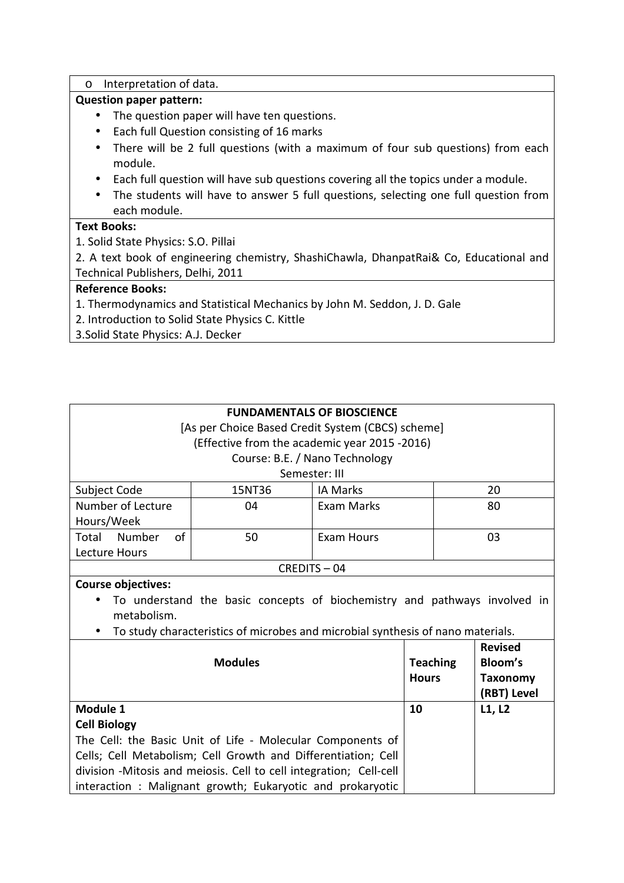o Interpretation of data.

### **Question paper pattern:**

- The question paper will have ten questions.
- Each full Question consisting of 16 marks
- There will be 2 full questions (with a maximum of four sub questions) from each module.
- Each full question will have sub questions covering all the topics under a module.
- The students will have to answer 5 full questions, selecting one full question from each module.

# **Text Books:**

1. Solid State Physics: S.O. Pillai

2. A text book of engineering chemistry, ShashiChawla, DhanpatRai& Co, Educational and Technical Publishers, Delhi, 2011

### **Reference Books:**

- 1. Thermodynamics and Statistical Mechanics by John M. Seddon, J. D. Gale
- 2. Introduction to Solid State Physics C. Kittle
- 3.Solid State Physics: A.J. Decker

# **FUNDAMENTALS OF BIOSCIENCE**

[As per Choice Based Credit System (CBCS) scheme]

(Effective from the academic year 2015 -2016)

Course: B.E. / Nano Technology

### Semester: III

| Subject Code          | 15NT36 | <b>IA Marks</b> | 20 |
|-----------------------|--------|-----------------|----|
| Number of Lecture     | 04     | Exam Marks      | 80 |
| Hours/Week            |        |                 |    |
| Total<br>Number<br>οt | 50     | Exam Hours      | 03 |
| Lecture Hours         |        |                 |    |

#### CREDITS – 04

### **Course objectives:**

- To understand the basic concepts of biochemistry and pathways involved in metabolism.
- To study characteristics of microbes and microbial synthesis of nano materials.

| <b>Modules</b>                                                      | <b>Teaching</b><br><b>Hours</b> | <b>Revised</b><br>Bloom's<br><b>Taxonomy</b><br>(RBT) Level |
|---------------------------------------------------------------------|---------------------------------|-------------------------------------------------------------|
| Module 1                                                            | 10                              | L1, L2                                                      |
| <b>Cell Biology</b>                                                 |                                 |                                                             |
| The Cell: the Basic Unit of Life - Molecular Components of          |                                 |                                                             |
| Cells; Cell Metabolism; Cell Growth and Differentiation; Cell       |                                 |                                                             |
| division - Mitosis and meiosis. Cell to cell integration; Cell-cell |                                 |                                                             |
| interaction: Malignant growth; Eukaryotic and prokaryotic           |                                 |                                                             |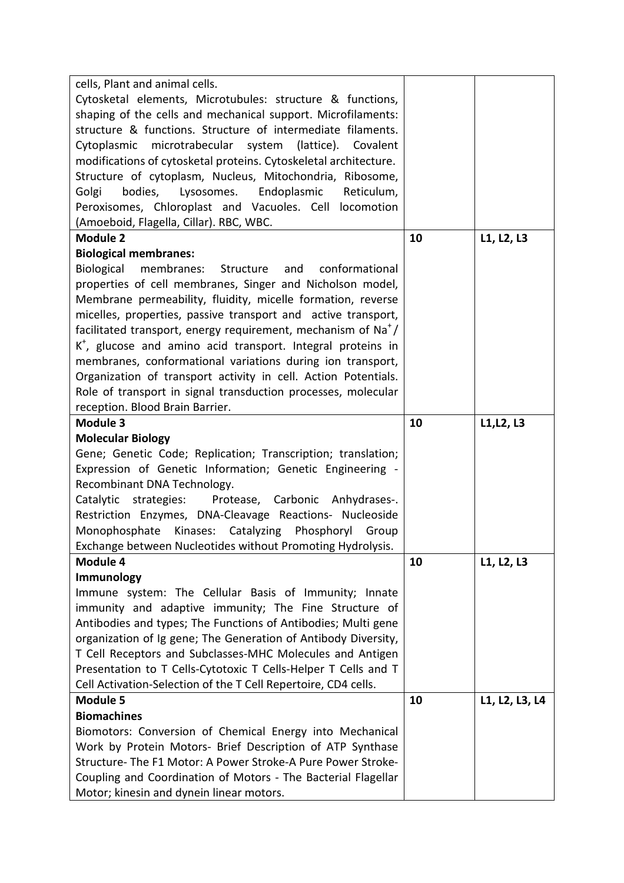| Cytosketal elements, Microtubules: structure & functions,<br>shaping of the cells and mechanical support. Microfilaments:    |    |                |
|------------------------------------------------------------------------------------------------------------------------------|----|----------------|
|                                                                                                                              |    |                |
|                                                                                                                              |    |                |
| structure & functions. Structure of intermediate filaments.                                                                  |    |                |
| Cytoplasmic microtrabecular system<br>(lattice). Covalent                                                                    |    |                |
| modifications of cytosketal proteins. Cytoskeletal architecture.                                                             |    |                |
| Structure of cytoplasm, Nucleus, Mitochondria, Ribosome,                                                                     |    |                |
| Endoplasmic<br>Golgi<br>bodies,<br>Lysosomes.<br>Reticulum,                                                                  |    |                |
| Peroxisomes, Chloroplast and Vacuoles. Cell locomotion                                                                       |    |                |
| (Amoeboid, Flagella, Cillar). RBC, WBC.                                                                                      |    |                |
| <b>Module 2</b>                                                                                                              | 10 | L1, L2, L3     |
| <b>Biological membranes:</b>                                                                                                 |    |                |
| Biological membranes:<br>Structure and<br>conformational                                                                     |    |                |
| properties of cell membranes, Singer and Nicholson model,                                                                    |    |                |
| Membrane permeability, fluidity, micelle formation, reverse                                                                  |    |                |
| micelles, properties, passive transport and active transport,                                                                |    |                |
| facilitated transport, energy requirement, mechanism of $\text{Na}^+$ /                                                      |    |                |
| K <sup>+</sup> , glucose and amino acid transport. Integral proteins in                                                      |    |                |
| membranes, conformational variations during ion transport,                                                                   |    |                |
| Organization of transport activity in cell. Action Potentials.                                                               |    |                |
| Role of transport in signal transduction processes, molecular                                                                |    |                |
| reception. Blood Brain Barrier.                                                                                              |    |                |
| <b>Module 3</b>                                                                                                              | 10 | L1, L2, L3     |
| <b>Molecular Biology</b>                                                                                                     |    |                |
| Gene; Genetic Code; Replication; Transcription; translation;                                                                 |    |                |
|                                                                                                                              |    |                |
| Expression of Genetic Information; Genetic Engineering -                                                                     |    |                |
| Recombinant DNA Technology.                                                                                                  |    |                |
| Protease, Carbonic Anhydrases-.<br>Catalytic strategies:                                                                     |    |                |
| Restriction Enzymes, DNA-Cleavage Reactions- Nucleoside                                                                      |    |                |
| Kinases: Catalyzing Phosphoryl<br>Monophosphate<br>Group                                                                     |    |                |
| Exchange between Nucleotides without Promoting Hydrolysis.                                                                   |    |                |
| Module 4                                                                                                                     | 10 | L1, L2, L3     |
| Immunology                                                                                                                   |    |                |
| Immune system: The Cellular Basis of Immunity; Innate                                                                        |    |                |
| immunity and adaptive immunity; The Fine Structure of                                                                        |    |                |
| Antibodies and types; The Functions of Antibodies; Multi gene                                                                |    |                |
| organization of Ig gene; The Generation of Antibody Diversity,                                                               |    |                |
| T Cell Receptors and Subclasses-MHC Molecules and Antigen                                                                    |    |                |
| Presentation to T Cells-Cytotoxic T Cells-Helper T Cells and T                                                               |    |                |
| Cell Activation-Selection of the T Cell Repertoire, CD4 cells.                                                               |    |                |
| <b>Module 5</b>                                                                                                              | 10 | L1, L2, L3, L4 |
| <b>Biomachines</b>                                                                                                           |    |                |
| Biomotors: Conversion of Chemical Energy into Mechanical                                                                     |    |                |
| Work by Protein Motors- Brief Description of ATP Synthase                                                                    |    |                |
| Structure-The F1 Motor: A Power Stroke-A Pure Power Stroke-<br>Coupling and Coordination of Motors - The Bacterial Flagellar |    |                |
|                                                                                                                              |    |                |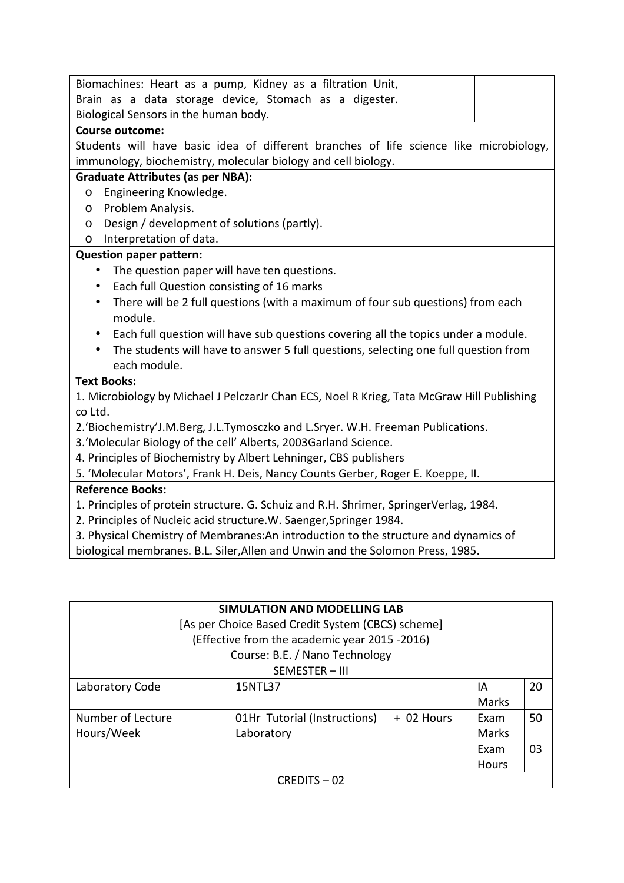| Biomachines: Heart as a pump, Kidney as a filtration Unit,                                       |
|--------------------------------------------------------------------------------------------------|
| Brain as a data storage device, Stomach as a digester.                                           |
| Biological Sensors in the human body.                                                            |
| <b>Course outcome:</b>                                                                           |
| Students will have basic idea of different branches of life science like microbiology,           |
| immunology, biochemistry, molecular biology and cell biology.                                    |
| <b>Graduate Attributes (as per NBA):</b>                                                         |
| Engineering Knowledge.<br>O                                                                      |
| Problem Analysis.<br>$\circ$                                                                     |
| Design / development of solutions (partly).<br>$\circ$                                           |
| Interpretation of data.<br>O                                                                     |
| <b>Question paper pattern:</b>                                                                   |
| The question paper will have ten questions.<br>$\bullet$                                         |
| Each full Question consisting of 16 marks<br>$\bullet$                                           |
| There will be 2 full questions (with a maximum of four sub questions) from each<br>$\bullet$     |
| module.                                                                                          |
| Each full question will have sub questions covering all the topics under a module.               |
| The students will have to answer 5 full questions, selecting one full question from<br>$\bullet$ |
| each module.                                                                                     |
| <b>Text Books:</b>                                                                               |
| 1. Microbiology by Michael J PelczarJr Chan ECS, Noel R Krieg, Tata McGraw Hill Publishing       |
| co Ltd.                                                                                          |
| 2.'Biochemistry'J.M.Berg, J.L.Tymosczko and L.Sryer. W.H. Freeman Publications.                  |
| 3. 'Molecular Biology of the cell' Alberts, 2003Garland Science.                                 |
| 4. Principles of Biochemistry by Albert Lehninger, CBS publishers                                |
| 5. 'Molecular Motors', Frank H. Deis, Nancy Counts Gerber, Roger E. Koeppe, II.                  |
| <b>Reference Books:</b>                                                                          |
| 1. Principles of protein structure. G. Schuiz and R.H. Shrimer, SpringerVerlag, 1984.            |
| 2. Principles of Nucleic acid structure.W. Saenger, Springer 1984.                               |
| 3. Physical Chemistry of Membranes: An introduction to the structure and dynamics of             |
| biological membranes. B.L. Siler, Allen and Unwin and the Solomon Press, 1985.                   |
|                                                                                                  |

| SIMULATION AND MODELLING LAB                      |                                            |              |    |  |
|---------------------------------------------------|--------------------------------------------|--------------|----|--|
| [As per Choice Based Credit System (CBCS) scheme] |                                            |              |    |  |
| (Effective from the academic year 2015 -2016)     |                                            |              |    |  |
| Course: B.E. / Nano Technology                    |                                            |              |    |  |
| SEMESTER - III                                    |                                            |              |    |  |
| Laboratory Code                                   | 15NTL37                                    | IA           | 20 |  |
|                                                   |                                            | Marks        |    |  |
| Number of Lecture                                 | 01Hr Tutorial (Instructions)<br>+ 02 Hours | Exam         | 50 |  |
| Hours/Week                                        | Laboratory                                 | Marks        |    |  |
|                                                   |                                            | Exam         | 03 |  |
|                                                   |                                            | <b>Hours</b> |    |  |
| $CRFDITS - 02$                                    |                                            |              |    |  |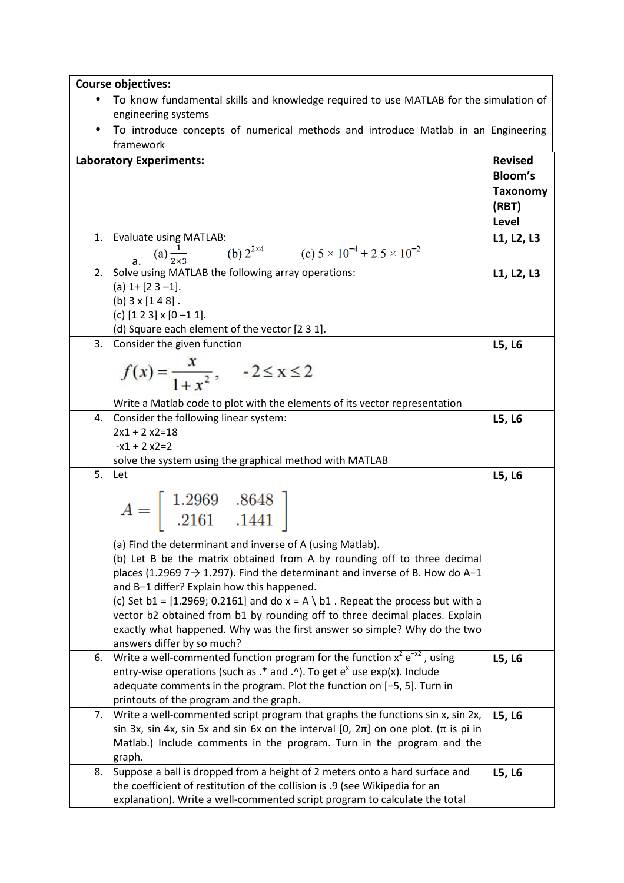| <b>Course objectives:</b> |  |
|---------------------------|--|
|---------------------------|--|

- To know fundamental skills and knowledge required to use MATLAB for the simulation of engineering systems
- To introduce concepts of numerical methods and introduce Matlab in an Engineering framework

| <b>Laboratory Experiments:</b>                                                                                                                                                                                                                                                                                           | <b>Revised</b><br><b>Bloom's</b><br><b>Taxonomy</b><br>(RBT)<br>Level |
|--------------------------------------------------------------------------------------------------------------------------------------------------------------------------------------------------------------------------------------------------------------------------------------------------------------------------|-----------------------------------------------------------------------|
| <b>Evaluate using MATLAB:</b><br>1.<br>a. (a) $\frac{1}{2\times3}$ (b) $2^{2\times4}$ (c) $5 \times 10^{-4} + 2.5 \times 10^{-2}$                                                                                                                                                                                        | L1, L2, L3                                                            |
| Solve using MATLAB the following array operations:<br>2.<br>(a) $1 + [2 \ 3 -1]$ .<br>(b) $3 \times [1 4 8]$ .<br>(c) $[1 2 3] \times [0 - 1 1]$ .<br>(d) Square each element of the vector [2 3 1].                                                                                                                     | L1, L2, L3                                                            |
| Consider the given function<br>3.<br>$f(x) = \frac{x}{1+x^2},$ $-2 \le x \le 2$<br>Write a Matlab code to plot with the elements of its vector representation                                                                                                                                                            | L5, L6                                                                |
| Consider the following linear system:<br>4.<br>$2x1 + 2x2 = 18$<br>$-x1 + 2x2 = 2$<br>solve the system using the graphical method with MATLAB                                                                                                                                                                            | L5, L6                                                                |
| 5.<br>Let<br>$A = \begin{bmatrix} 1.2969 & .8648 \\ .2161 & .1441 \end{bmatrix}$<br>(a) Find the determinant and inverse of A (using Matlab).<br>(b) Let B be the matrix obtained from A by rounding off to three decimal<br>places (1.2969 7 $\rightarrow$ 1.297). Find the determinant and inverse of B. How do A-1    | L5, L6                                                                |
| and B-1 differ? Explain how this happened.<br>(c) Set b1 = $[1.2969; 0.2161]$ and do x = A \ b1. Repeat the process but with a<br>vector b2 obtained from b1 by rounding off to three decimal places. Explain<br>exactly what happened. Why was the first answer so simple? Why do the two<br>answers differ by so much? |                                                                       |
| Write a well-commented function program for the function $x^2 e^{-x^2}$ , using<br>6.<br>entry-wise operations (such as $.*$ and $.\land$ ). To get $e^x$ use exp(x). Include<br>adequate comments in the program. Plot the function on [-5, 5]. Turn in<br>printouts of the program and the graph.                      | L5, L6                                                                |
| 7. Write a well-commented script program that graphs the functions sin x, sin 2x,<br>sin 3x, sin 4x, sin 5x and sin 6x on the interval [0, $2\pi$ ] on one plot. ( $\pi$ is pi in<br>Matlab.) Include comments in the program. Turn in the program and the<br>graph.                                                     | L5, L6                                                                |
| Suppose a ball is dropped from a height of 2 meters onto a hard surface and<br>8.<br>the coefficient of restitution of the collision is .9 (see Wikipedia for an<br>explanation). Write a well-commented script program to calculate the total                                                                           | L5, L6                                                                |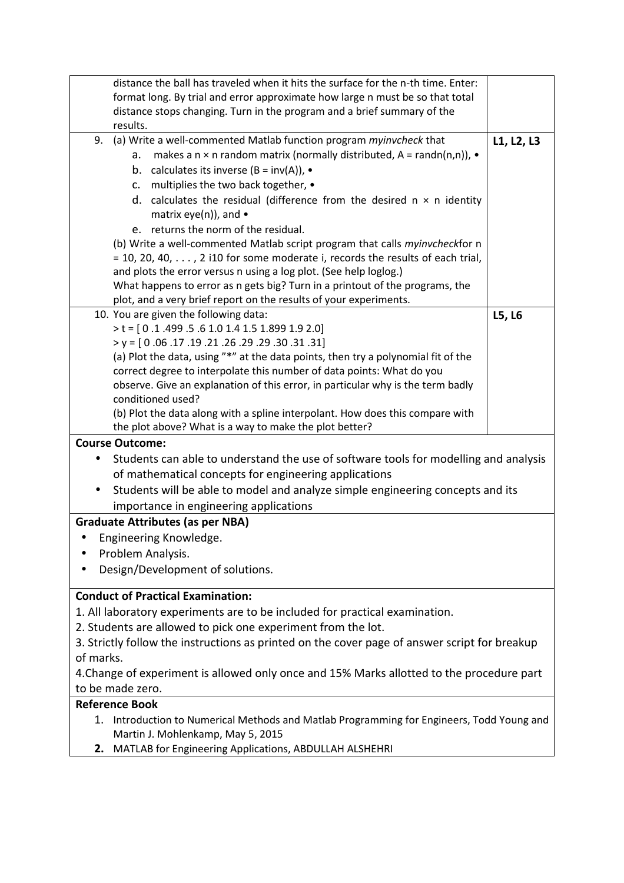| distance the ball has traveled when it hits the surface for the n-th time. Enter:                                                 |            |  |  |
|-----------------------------------------------------------------------------------------------------------------------------------|------------|--|--|
| format long. By trial and error approximate how large n must be so that total                                                     |            |  |  |
| distance stops changing. Turn in the program and a brief summary of the                                                           |            |  |  |
| results.                                                                                                                          |            |  |  |
| (a) Write a well-commented Matlab function program myinvcheck that<br>9.                                                          | L1, L2, L3 |  |  |
| makes a n $\times$ n random matrix (normally distributed, A = randn(n,n)), $\bullet$<br>a.                                        |            |  |  |
| b. calculates its inverse $(B = inv(A))$ , •                                                                                      |            |  |  |
| c. multiplies the two back together, •                                                                                            |            |  |  |
| d. calculates the residual (difference from the desired $n \times n$ identity                                                     |            |  |  |
| matrix eye(n)), and $\bullet$                                                                                                     |            |  |  |
| e. returns the norm of the residual.                                                                                              |            |  |  |
| (b) Write a well-commented Matlab script program that calls myinvcheckfor n                                                       |            |  |  |
| $=$ 10, 20, 40, , 2 i10 for some moderate i, records the results of each trial,                                                   |            |  |  |
| and plots the error versus n using a log plot. (See help loglog.)                                                                 |            |  |  |
| What happens to error as n gets big? Turn in a printout of the programs, the                                                      |            |  |  |
| plot, and a very brief report on the results of your experiments.                                                                 |            |  |  |
| 10. You are given the following data:                                                                                             | L5, L6     |  |  |
| $> t = [0.1.499.5.6 1.0 1.4 1.5 1.899 1.9 2.0]$                                                                                   |            |  |  |
| $y = [0.06.17.19.21.26.29.29.30.31.31]$                                                                                           |            |  |  |
| (a) Plot the data, using "*" at the data points, then try a polynomial fit of the                                                 |            |  |  |
| correct degree to interpolate this number of data points: What do you                                                             |            |  |  |
| observe. Give an explanation of this error, in particular why is the term badly                                                   |            |  |  |
| conditioned used?                                                                                                                 |            |  |  |
| (b) Plot the data along with a spline interpolant. How does this compare with                                                     |            |  |  |
| the plot above? What is a way to make the plot better?<br><b>Course Outcome:</b>                                                  |            |  |  |
|                                                                                                                                   |            |  |  |
| Students can able to understand the use of software tools for modelling and analysis                                              |            |  |  |
| of mathematical concepts for engineering applications                                                                             |            |  |  |
| Students will be able to model and analyze simple engineering concepts and its                                                    |            |  |  |
| importance in engineering applications                                                                                            |            |  |  |
| <b>Graduate Attributes (as per NBA)</b>                                                                                           |            |  |  |
| Engineering Knowledge.<br>$\bullet$                                                                                               |            |  |  |
| Problem Analysis.                                                                                                                 |            |  |  |
| Design/Development of solutions.                                                                                                  |            |  |  |
| <b>Conduct of Practical Examination:</b>                                                                                          |            |  |  |
| 1. All laboratory experiments are to be included for practical examination.                                                       |            |  |  |
| 2. Students are allowed to pick one experiment from the lot.                                                                      |            |  |  |
| 3. Strictly follow the instructions as printed on the cover page of answer script for breakup                                     |            |  |  |
| of marks.                                                                                                                         |            |  |  |
| 4. Change of experiment is allowed only once and 15% Marks allotted to the procedure part                                         |            |  |  |
| to be made zero.                                                                                                                  |            |  |  |
| <b>Reference Book</b>                                                                                                             |            |  |  |
| Introduction to Numerical Methods and Matlab Programming for Engineers, Todd Young and<br>1.<br>Martin J. Mohlenkamp, May 5, 2015 |            |  |  |
| MATLAB for Engineering Applications, ABDULLAH ALSHEHRI<br>2.                                                                      |            |  |  |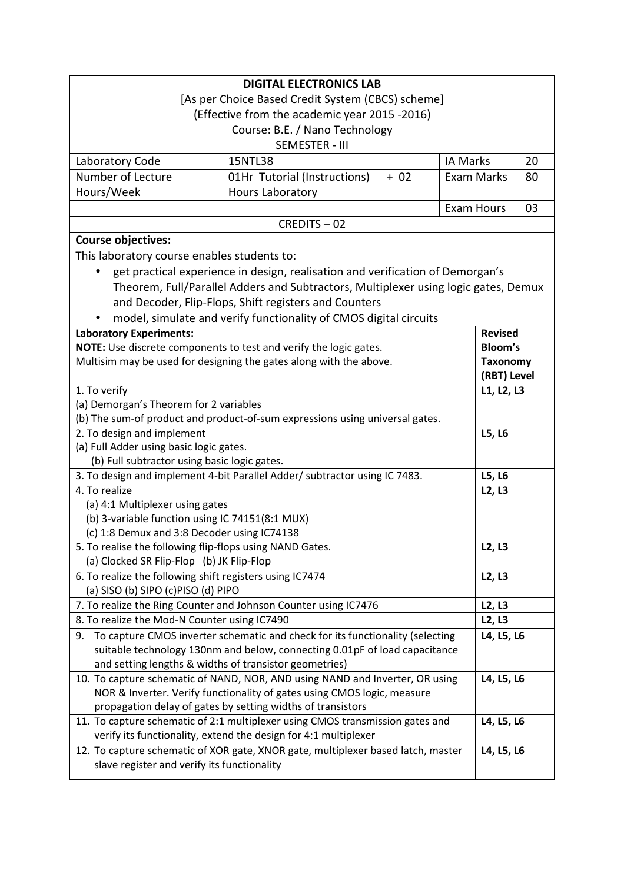| <b>DIGITAL ELECTRONICS LAB</b>                                                              |                                                                                                                                                         |                 |                 |    |
|---------------------------------------------------------------------------------------------|---------------------------------------------------------------------------------------------------------------------------------------------------------|-----------------|-----------------|----|
|                                                                                             | [As per Choice Based Credit System (CBCS) scheme]                                                                                                       |                 |                 |    |
|                                                                                             | (Effective from the academic year 2015 -2016)                                                                                                           |                 |                 |    |
|                                                                                             | Course: B.E. / Nano Technology                                                                                                                          |                 |                 |    |
|                                                                                             | SEMESTER - III                                                                                                                                          |                 |                 |    |
| Laboratory Code                                                                             | 15NTL38                                                                                                                                                 | <b>IA Marks</b> |                 | 20 |
| Number of Lecture                                                                           | 01Hr Tutorial (Instructions)<br>$+ 02$                                                                                                                  | Exam Marks      |                 | 80 |
| Hours/Week                                                                                  | Hours Laboratory                                                                                                                                        |                 |                 |    |
|                                                                                             |                                                                                                                                                         | Exam Hours      |                 | 03 |
|                                                                                             | CREDITS-02                                                                                                                                              |                 |                 |    |
| <b>Course objectives:</b>                                                                   |                                                                                                                                                         |                 |                 |    |
| This laboratory course enables students to:                                                 |                                                                                                                                                         |                 |                 |    |
| $\bullet$                                                                                   | get practical experience in design, realisation and verification of Demorgan's                                                                          |                 |                 |    |
|                                                                                             | Theorem, Full/Parallel Adders and Subtractors, Multiplexer using logic gates, Demux                                                                     |                 |                 |    |
|                                                                                             | and Decoder, Flip-Flops, Shift registers and Counters                                                                                                   |                 |                 |    |
|                                                                                             | model, simulate and verify functionality of CMOS digital circuits                                                                                       |                 |                 |    |
| <b>Laboratory Experiments:</b>                                                              |                                                                                                                                                         |                 | <b>Revised</b>  |    |
|                                                                                             | NOTE: Use discrete components to test and verify the logic gates.                                                                                       |                 | <b>Bloom's</b>  |    |
|                                                                                             | Multisim may be used for designing the gates along with the above.                                                                                      |                 | <b>Taxonomy</b> |    |
|                                                                                             |                                                                                                                                                         |                 | (RBT) Level     |    |
| 1. To verify                                                                                |                                                                                                                                                         |                 | L1, L2, L3      |    |
| (a) Demorgan's Theorem for 2 variables                                                      |                                                                                                                                                         |                 |                 |    |
|                                                                                             | (b) The sum-of product and product-of-sum expressions using universal gates.                                                                            |                 |                 |    |
| 2. To design and implement                                                                  |                                                                                                                                                         |                 | L5, L6          |    |
| (a) Full Adder using basic logic gates.                                                     |                                                                                                                                                         |                 |                 |    |
| (b) Full subtractor using basic logic gates.                                                |                                                                                                                                                         |                 | L5, L6          |    |
| 3. To design and implement 4-bit Parallel Adder/ subtractor using IC 7483.<br>4. To realize |                                                                                                                                                         |                 | L2, L3          |    |
| (a) 4:1 Multiplexer using gates                                                             |                                                                                                                                                         |                 |                 |    |
| (b) 3-variable function using IC 74151(8:1 MUX)                                             |                                                                                                                                                         |                 |                 |    |
| (c) 1:8 Demux and 3:8 Decoder using IC74138                                                 |                                                                                                                                                         |                 |                 |    |
| 5. To realise the following flip-flops using NAND Gates.                                    |                                                                                                                                                         |                 | L2, L3          |    |
| (a) Clocked SR Flip-Flop (b) JK Flip-Flop                                                   |                                                                                                                                                         |                 |                 |    |
| 6. To realize the following shift registers using IC7474                                    |                                                                                                                                                         |                 | L2, L3          |    |
| (a) SISO (b) SIPO (c)PISO (d) PIPO                                                          |                                                                                                                                                         |                 |                 |    |
| 7. To realize the Ring Counter and Johnson Counter using IC7476                             |                                                                                                                                                         |                 | L2, L3          |    |
| 8. To realize the Mod-N Counter using IC7490                                                |                                                                                                                                                         |                 | L2, L3          |    |
| 9.                                                                                          | To capture CMOS inverter schematic and check for its functionality (selecting                                                                           |                 | L4, L5, L6      |    |
|                                                                                             | suitable technology 130nm and below, connecting 0.01pF of load capacitance                                                                              |                 |                 |    |
| and setting lengths & widths of transistor geometries)                                      |                                                                                                                                                         |                 |                 |    |
|                                                                                             | 10. To capture schematic of NAND, NOR, AND using NAND and Inverter, OR using<br>NOR & Inverter. Verify functionality of gates using CMOS logic, measure |                 | L4, L5, L6      |    |
|                                                                                             | propagation delay of gates by setting widths of transistors                                                                                             |                 |                 |    |
|                                                                                             | 11. To capture schematic of 2:1 multiplexer using CMOS transmission gates and                                                                           |                 | L4, L5, L6      |    |
|                                                                                             | verify its functionality, extend the design for 4:1 multiplexer                                                                                         |                 |                 |    |
|                                                                                             | 12. To capture schematic of XOR gate, XNOR gate, multiplexer based latch, master                                                                        |                 | L4, L5, L6      |    |
| slave register and verify its functionality                                                 |                                                                                                                                                         |                 |                 |    |
|                                                                                             |                                                                                                                                                         |                 |                 |    |